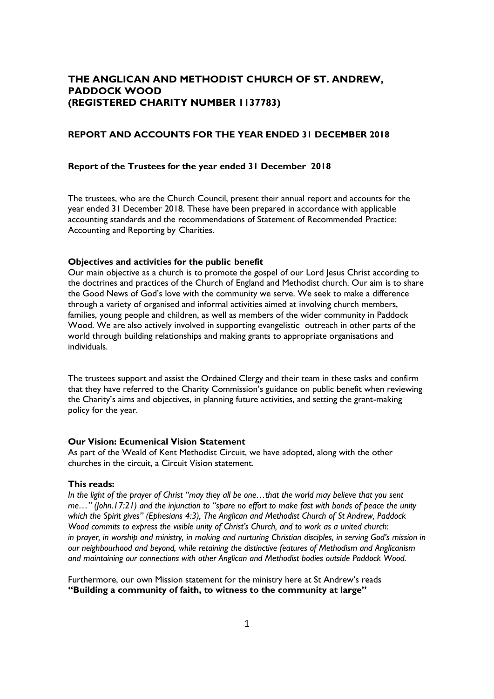# **THE ANGLICAN AND METHODIST CHURCH OF ST. ANDREW, PADDOCK WOOD (REGISTERED CHARITY NUMBER 1137783)**

## **REPORT AND ACCOUNTS FOR THE YEAR ENDED 31 DECEMBER 2018**

## **Report of the Trustees for the year ended 31 December 2018**

The trustees, who are the Church Council, present their annual report and accounts for the year ended 31 December 2018. These have been prepared in accordance with applicable accounting standards and the recommendations of Statement of Recommended Practice: Accounting and Reporting by Charities.

# **Objectives and activities for the public benefit**

Our main objective as a church is to promote the gospel of our Lord Jesus Christ according to the doctrines and practices of the Church of England and Methodist church. Our aim is to share the Good News of God's love with the community we serve. We seek to make a difference through a variety of organised and informal activities aimed at involving church members, families, young people and children, as well as members of the wider community in Paddock Wood. We are also actively involved in supporting evangelistic outreach in other parts of the world through building relationships and making grants to appropriate organisations and individuals.

The trustees support and assist the Ordained Clergy and their team in these tasks and confirm that they have referred to the Charity Commission's guidance on public benefit when reviewing the Charity's aims and objectives, in planning future activities, and setting the grant-making policy for the year.

## **Our Vision: Ecumenical Vision Statement**

As part of the Weald of Kent Methodist Circuit, we have adopted, along with the other churches in the circuit, a Circuit Vision statement.

## **This reads:**

*In the light of the prayer of Christ "may they all be one…that the world may believe that you sent me…" (John.17:21) and the injunction to "spare no effort to make fast with bonds of peace the unity which the Spirit gives" (Ephesians 4:3), The Anglican and Methodist Church of St Andrew, Paddock Wood commits to express the visible unity of Christ's Church, and to work as a united church: in prayer, in worship and ministry, in making and nurturing Christian disciples, in serving God's mission in our neighbourhood and beyond, while retaining the distinctive features of Methodism and Anglicanism and maintaining our connections with other Anglican and Methodist bodies outside Paddock Wood.*

Furthermore, our own Mission statement for the ministry here at St Andrew's reads **"Building a community of faith, to witness to the community at large"**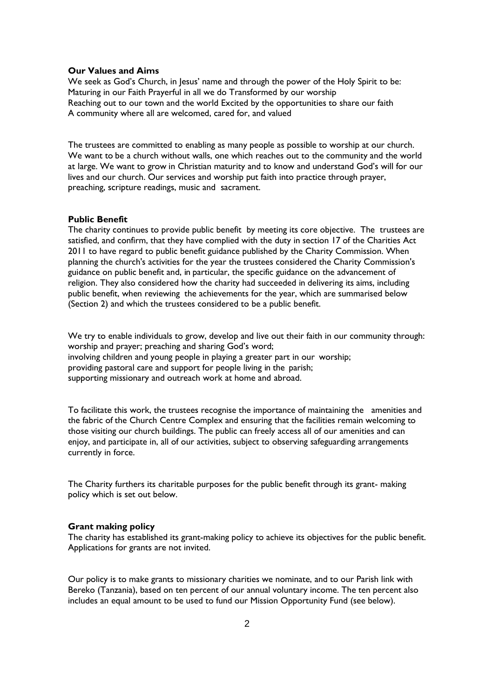## **Our Values and Aims**

We seek as God's Church, in Jesus' name and through the power of the Holy Spirit to be: Maturing in our Faith Prayerful in all we do Transformed by our worship Reaching out to our town and the world Excited by the opportunities to share our faith A community where all are welcomed, cared for, and valued

The trustees are committed to enabling as many people as possible to worship at our church. We want to be a church without walls, one which reaches out to the community and the world at large. We want to grow in Christian maturity and to know and understand God's will for our lives and our church. Our services and worship put faith into practice through prayer, preaching, scripture readings, music and sacrament.

### **Public Benefit**

The charity continues to provide public benefit by meeting its core objective. The trustees are satisfied, and confirm, that they have complied with the duty in section 17 of the Charities Act 2011 to have regard to public benefit guidance published by the Charity Commission. When planning the church's activities for the year the trustees considered the Charity Commission's guidance on public benefit and, in particular, the specific guidance on the advancement of religion. They also considered how the charity had succeeded in delivering its aims, including public benefit, when reviewing the achievements for the year, which are summarised below (Section 2) and which the trustees considered to be a public benefit.

We try to enable individuals to grow, develop and live out their faith in our community through: worship and prayer; preaching and sharing God's word; involving children and young people in playing a greater part in our worship; providing pastoral care and support for people living in the parish; supporting missionary and outreach work at home and abroad.

To facilitate this work, the trustees recognise the importance of maintaining the amenities and the fabric of the Church Centre Complex and ensuring that the facilities remain welcoming to those visiting our church buildings. The public can freely access all of our amenities and can enjoy, and participate in, all of our activities, subject to observing safeguarding arrangements currently in force.

The Charity furthers its charitable purposes for the public benefit through its grant- making policy which is set out below.

## **Grant making policy**

The charity has established its grant-making policy to achieve its objectives for the public benefit. Applications for grants are not invited.

Our policy is to make grants to missionary charities we nominate, and to our Parish link with Bereko (Tanzania), based on ten percent of our annual voluntary income. The ten percent also includes an equal amount to be used to fund our Mission Opportunity Fund (see below).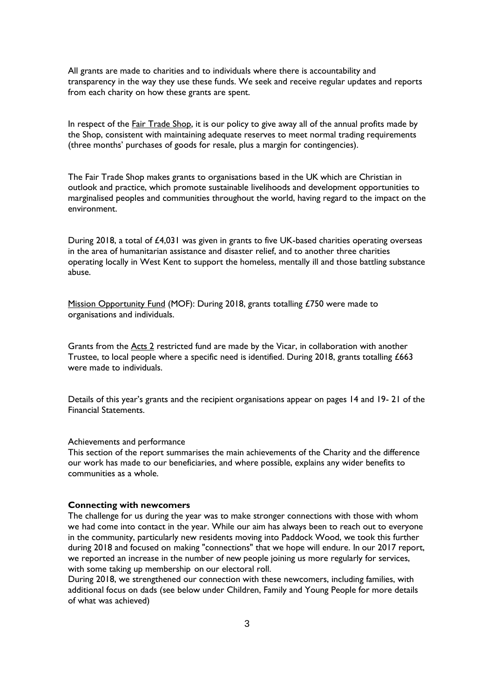All grants are made to charities and to individuals where there is accountability and transparency in the way they use these funds. We seek and receive regular updates and reports from each charity on how these grants are spent.

In respect of the **Fair Trade Shop**, it is our policy to give away all of the annual profits made by the Shop, consistent with maintaining adequate reserves to meet normal trading requirements (three months' purchases of goods for resale, plus a margin for contingencies).

The Fair Trade Shop makes grants to organisations based in the UK which are Christian in outlook and practice, which promote sustainable livelihoods and development opportunities to marginalised peoples and communities throughout the world, having regard to the impact on the environment.

During 2018, a total of £4,031 was given in grants to five UK-based charities operating overseas in the area of humanitarian assistance and disaster relief, and to another three charities operating locally in West Kent to support the homeless, mentally ill and those battling substance abuse.

Mission Opportunity Fund (MOF): During 2018, grants totalling £750 were made to organisations and individuals.

Grants from the **Acts 2** restricted fund are made by the Vicar, in collaboration with another Trustee, to local people where a specific need is identified. During 2018, grants totalling £663 were made to individuals.

Details of this year's grants and the recipient organisations appear on pages 14 and 19- 21 of the Financial Statements.

#### Achievements and performance

This section of the report summarises the main achievements of the Charity and the difference our work has made to our beneficiaries, and where possible, explains any wider benefits to communities as a whole.

## **Connecting with newcomers**

The challenge for us during the year was to make stronger connections with those with whom we had come into contact in the year. While our aim has always been to reach out to everyone in the community, particularly new residents moving into Paddock Wood, we took this further during 2018 and focused on making "connections" that we hope will endure. In our 2017 report, we reported an increase in the number of new people joining us more regularly for services, with some taking up membership on our electoral roll.

During 2018, we strengthened our connection with these newcomers, including families, with additional focus on dads (see below under Children, Family and Young People for more details of what was achieved)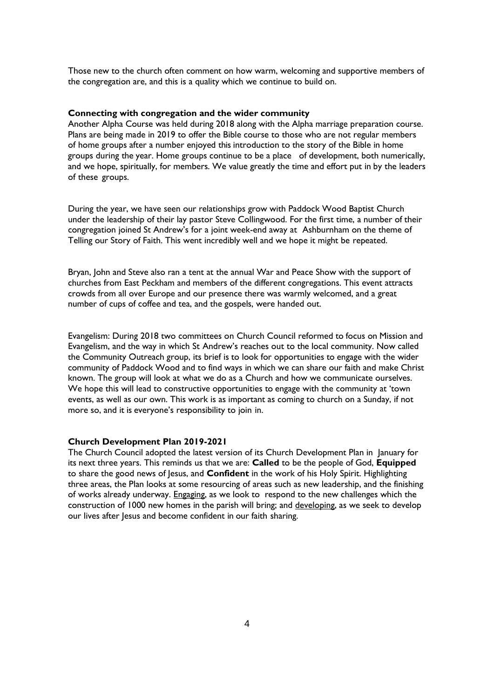Those new to the church often comment on how warm, welcoming and supportive members of the congregation are, and this is a quality which we continue to build on.

## **Connecting with congregation and the wider community**

Another Alpha Course was held during 2018 along with the Alpha marriage preparation course. Plans are being made in 2019 to offer the Bible course to those who are not regular members of home groups after a number enjoyed this introduction to the story of the Bible in home groups during the year. Home groups continue to be a place of development, both numerically, and we hope, spiritually, for members. We value greatly the time and effort put in by the leaders of these groups.

During the year, we have seen our relationships grow with Paddock Wood Baptist Church under the leadership of their lay pastor Steve Collingwood. For the first time, a number of their congregation joined St Andrew's for a joint week-end away at Ashburnham on the theme of Telling our Story of Faith. This went incredibly well and we hope it might be repeated.

Bryan, John and Steve also ran a tent at the annual War and Peace Show with the support of churches from East Peckham and members of the different congregations. This event attracts crowds from all over Europe and our presence there was warmly welcomed, and a great number of cups of coffee and tea, and the gospels, were handed out.

Evangelism: During 2018 two committees on Church Council reformed to focus on Mission and Evangelism, and the way in which St Andrew's reaches out to the local community. Now called the Community Outreach group, its brief is to look for opportunities to engage with the wider community of Paddock Wood and to find ways in which we can share our faith and make Christ known. The group will look at what we do as a Church and how we communicate ourselves. We hope this will lead to constructive opportunities to engage with the community at 'town events, as well as our own. This work is as important as coming to church on a Sunday, if not more so, and it is everyone's responsibility to join in.

## **Church Development Plan 2019-2021**

The Church Council adopted the latest version of its Church Development Plan in January for its next three years. This reminds us that we are: **Called** to be the people of God, **Equipped**  to share the good news of Jesus, and **Confident** in the work of his Holy Spirit. Highlighting three areas, the Plan looks at some resourcing of areas such as new leadership, and the finishing of works already underway. Engaging, as we look to respond to the new challenges which the construction of 1000 new homes in the parish will bring; and developing, as we seek to develop our lives after Jesus and become confident in our faith sharing.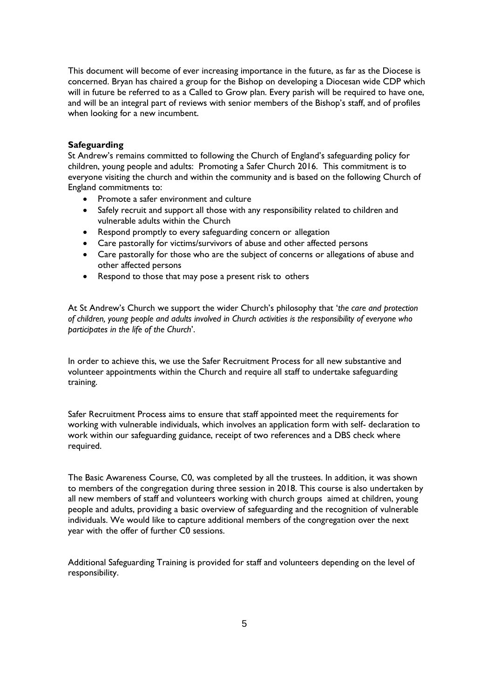This document will become of ever increasing importance in the future, as far as the Diocese is concerned. Bryan has chaired a group for the Bishop on developing a Diocesan wide CDP which will in future be referred to as a Called to Grow plan. Every parish will be required to have one, and will be an integral part of reviews with senior members of the Bishop's staff, and of profiles when looking for a new incumbent.

## **Safeguarding**

St Andrew's remains committed to following the Church of England's safeguarding policy for children, young people and adults: Promoting a Safer Church 2016. This commitment is to everyone visiting the church and within the community and is based on the following Church of England commitments to:

- Promote a safer environment and culture
- Safely recruit and support all those with any responsibility related to children and vulnerable adults within the Church
- Respond promptly to every safeguarding concern or allegation
- Care pastorally for victims/survivors of abuse and other affected persons
- Care pastorally for those who are the subject of concerns or allegations of abuse and other affected persons
- Respond to those that may pose a present risk to others

At St Andrew's Church we support the wider Church's philosophy that '*the care and protection of children, young people and adults involved in Church activities is the responsibility of everyone who participates in the life of the Church*'.

In order to achieve this, we use the Safer Recruitment Process for all new substantive and volunteer appointments within the Church and require all staff to undertake safeguarding training.

Safer Recruitment Process aims to ensure that staff appointed meet the requirements for working with vulnerable individuals, which involves an application form with self- declaration to work within our safeguarding guidance, receipt of two references and a DBS check where required.

The Basic Awareness Course, C0, was completed by all the trustees. In addition, it was shown to members of the congregation during three session in 2018. This course is also undertaken by all new members of staff and volunteers working with church groups aimed at children, young people and adults, providing a basic overview of safeguarding and the recognition of vulnerable individuals. We would like to capture additional members of the congregation over the next year with the offer of further C0 sessions.

Additional Safeguarding Training is provided for staff and volunteers depending on the level of responsibility.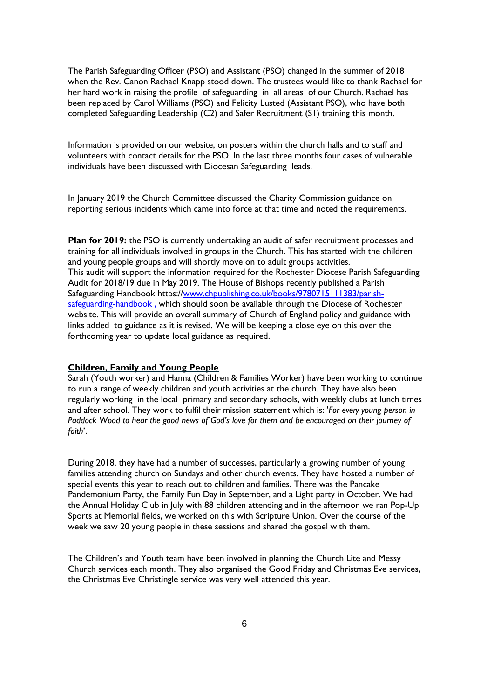The Parish Safeguarding Officer (PSO) and Assistant (PSO) changed in the summer of 2018 when the Rev. Canon Rachael Knapp stood down. The trustees would like to thank Rachael for her hard work in raising the profile of safeguarding in all areas of our Church. Rachael has been replaced by Carol Williams (PSO) and Felicity Lusted (Assistant PSO), who have both completed Safeguarding Leadership (C2) and Safer Recruitment (S1) training this month.

Information is provided on our website, on posters within the church halls and to staff and volunteers with contact details for the PSO. In the last three months four cases of vulnerable individuals have been discussed with Diocesan Safeguarding leads.

In January 2019 the Church Committee discussed the Charity Commission guidance on reporting serious incidents which came into force at that time and noted the requirements.

**Plan for 2019:** the PSO is currently undertaking an audit of safer recruitment processes and training for all individuals involved in groups in the Church. This has started with the children and young people groups and will shortly move on to adult groups activities. This audit will support the information required for the Rochester Diocese Parish Safeguarding Audit for 2018/19 due in May 2019. The House of Bishops recently published a Parish Safeguarding Handbook https:/[/www.chpublishing.co.uk/books/9780715111383/parish](http://www.chpublishing.co.uk/books/9780715111383/parish-safeguarding-handbook%20,)safeguarding-handbook, which should soon be available through the Diocese of Rochester website. This will provide an overall summary of Church of England policy and guidance with links added to guidance as it is revised. We will be keeping a close eye on this over the forthcoming year to update local guidance as required.

## **Children, Family and Young People**

Sarah (Youth worker) and Hanna (Children & Families Worker) have been working to continue to run a range of weekly children and youth activities at the church. They have also been regularly working in the local primary and secondary schools, with weekly clubs at lunch times and after school. They work to fulfil their mission statement which is: '*For every young person in Paddock Wood to hear the good news of God's love for them and be encouraged on their journey of faith*'.

During 2018, they have had a number of successes, particularly a growing number of young families attending church on Sundays and other church events. They have hosted a number of special events this year to reach out to children and families. There was the Pancake Pandemonium Party, the Family Fun Day in September, and a Light party in October. We had the Annual Holiday Club in July with 88 children attending and in the afternoon we ran Pop-Up Sports at Memorial fields, we worked on this with Scripture Union. Over the course of the week we saw 20 young people in these sessions and shared the gospel with them.

The Children's and Youth team have been involved in planning the Church Lite and Messy Church services each month. They also organised the Good Friday and Christmas Eve services, the Christmas Eve Christingle service was very well attended this year.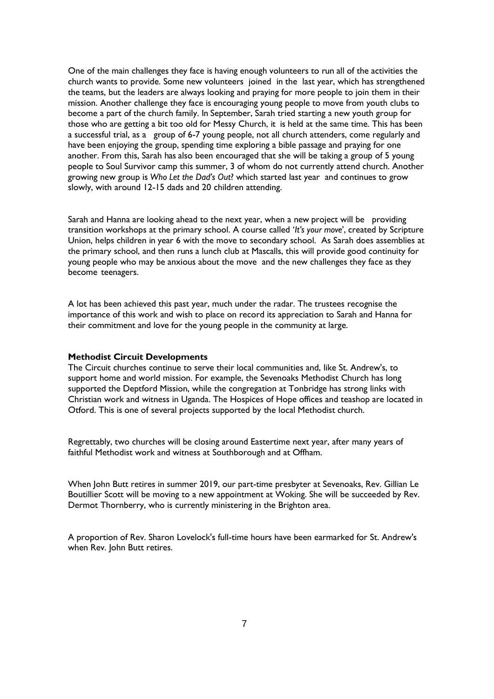One of the main challenges they face is having enough volunteers to run all of the activities the church wants to provide. Some new volunteers joined in the last year, which has strengthened the teams, but the leaders are always looking and praying for more people to join them in their mission. Another challenge they face is encouraging young people to move from youth clubs to become a part of the church family. In September, Sarah tried starting a new youth group for those who are getting a bit too old for Messy Church, it is held at the same time. This has been a successful trial, as a group of 6-7 young people, not all church attenders, come regularly and have been enjoying the group, spending time exploring a bible passage and praying for one another. From this, Sarah has also been encouraged that she will be taking a group of 5 young people to Soul Survivor camp this summer, 3 of whom do not currently attend church. Another growing new group is *Who Let the Dad's Out*? which started last year and continues to grow slowly, with around 12-15 dads and 20 children attending.

Sarah and Hanna are looking ahead to the next year, when a new project will be providing transition workshops at the primary school. A course called '*It's your move*', created by Scripture Union, helps children in year 6 with the move to secondary school. As Sarah does assemblies at the primary school, and then runs a lunch club at Mascalls, this will provide good continuity for young people who may be anxious about the move and the new challenges they face as they become teenagers.

A lot has been achieved this past year, much under the radar. The trustees recognise the importance of this work and wish to place on record its appreciation to Sarah and Hanna for their commitment and love for the young people in the community at large.

### **Methodist Circuit Developments**

The Circuit churches continue to serve their local communities and, like St. Andrew's, to support home and world mission. For example, the Sevenoaks Methodist Church has long supported the Deptford Mission, while the congregation at Tonbridge has strong links with Christian work and witness in Uganda. The Hospices of Hope offices and teashop are located in Otford. This is one of several projects supported by the local Methodist church.

Regrettably, two churches will be closing around Eastertime next year, after many years of faithful Methodist work and witness at Southborough and at Offham.

When John Butt retires in summer 2019, our part-time presbyter at Sevenoaks, Rev. Gillian Le Boutillier Scott will be moving to a new appointment at Woking. She will be succeeded by Rev. Dermot Thornberry, who is currently ministering in the Brighton area.

A proportion of Rev. Sharon Lovelock's full-time hours have been earmarked for St. Andrew's when Rev. John Butt retires.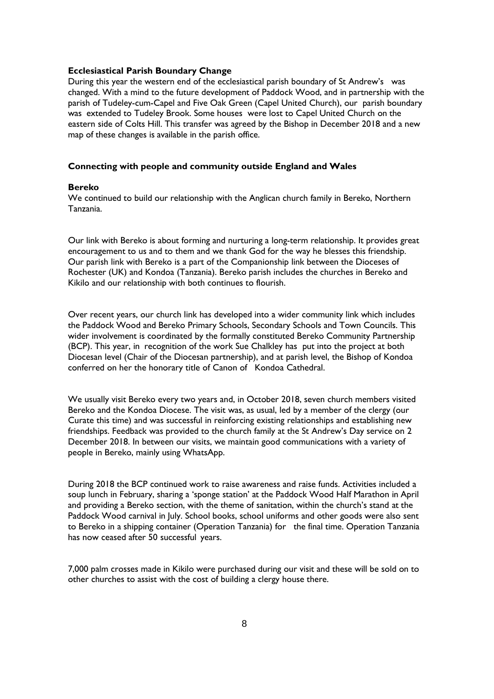## **Ecclesiastical Parish Boundary Change**

During this year the western end of the ecclesiastical parish boundary of St Andrew's was changed. With a mind to the future development of Paddock Wood, and in partnership with the parish of Tudeley-cum-Capel and Five Oak Green (Capel United Church), our parish boundary was extended to Tudeley Brook. Some houses were lost to Capel United Church on the eastern side of Colts Hill. This transfer was agreed by the Bishop in December 2018 and a new map of these changes is available in the parish office.

## **Connecting with people and community outside England and Wales**

#### **Bereko**

We continued to build our relationship with the Anglican church family in Bereko, Northern Tanzania.

Our link with Bereko is about forming and nurturing a long-term relationship. It provides great encouragement to us and to them and we thank God for the way he blesses this friendship. Our parish link with Bereko is a part of the Companionship link between the Dioceses of Rochester (UK) and Kondoa (Tanzania). Bereko parish includes the churches in Bereko and Kikilo and our relationship with both continues to flourish.

Over recent years, our church link has developed into a wider community link which includes the Paddock Wood and Bereko Primary Schools, Secondary Schools and Town Councils. This wider involvement is coordinated by the formally constituted Bereko Community Partnership (BCP). This year, in recognition of the work Sue Chalkley has put into the project at both Diocesan level (Chair of the Diocesan partnership), and at parish level, the Bishop of Kondoa conferred on her the honorary title of Canon of Kondoa Cathedral.

We usually visit Bereko every two years and, in October 2018, seven church members visited Bereko and the Kondoa Diocese. The visit was, as usual, led by a member of the clergy (our Curate this time) and was successful in reinforcing existing relationships and establishing new friendships. Feedback was provided to the church family at the St Andrew's Day service on 2 December 2018. In between our visits, we maintain good communications with a variety of people in Bereko, mainly using WhatsApp.

During 2018 the BCP continued work to raise awareness and raise funds. Activities included a soup lunch in February, sharing a 'sponge station' at the Paddock Wood Half Marathon in April and providing a Bereko section, with the theme of sanitation, within the church's stand at the Paddock Wood carnival in July. School books, school uniforms and other goods were also sent to Bereko in a shipping container (Operation Tanzania) for the final time. Operation Tanzania has now ceased after 50 successful years.

7,000 palm crosses made in Kikilo were purchased during our visit and these will be sold on to other churches to assist with the cost of building a clergy house there.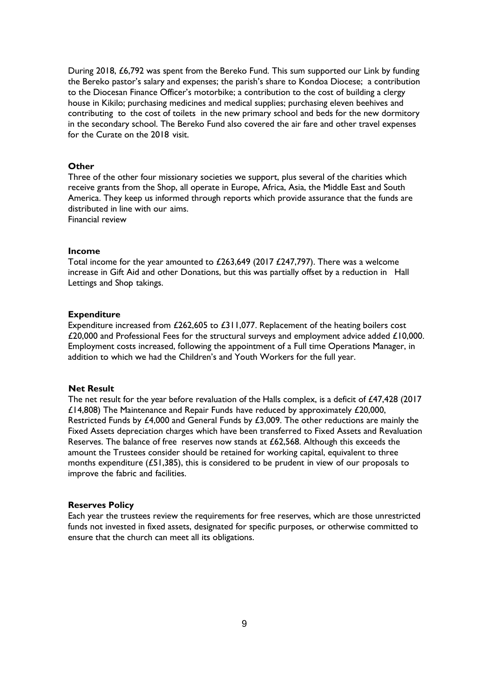During 2018, £6,792 was spent from the Bereko Fund. This sum supported our Link by funding the Bereko pastor's salary and expenses; the parish's share to Kondoa Diocese; a contribution to the Diocesan Finance Officer's motorbike; a contribution to the cost of building a clergy house in Kikilo; purchasing medicines and medical supplies; purchasing eleven beehives and contributing to the cost of toilets in the new primary school and beds for the new dormitory in the secondary school. The Bereko Fund also covered the air fare and other travel expenses for the Curate on the 2018 visit.

### **Other**

Three of the other four missionary societies we support, plus several of the charities which receive grants from the Shop, all operate in Europe, Africa, Asia, the Middle East and South America. They keep us informed through reports which provide assurance that the funds are distributed in line with our aims.

Financial review

### **Income**

Total income for the year amounted to £263,649 (2017 £247,797). There was a welcome increase in Gift Aid and other Donations, but this was partially offset by a reduction in Hall Lettings and Shop takings.

### **Expenditure**

Expenditure increased from £262,605 to £311,077. Replacement of the heating boilers cost £20,000 and Professional Fees for the structural surveys and employment advice added £10,000. Employment costs increased, following the appointment of a Full time Operations Manager, in addition to which we had the Children's and Youth Workers for the full year.

### **Net Result**

The net result for the year before revaluation of the Halls complex, is a deficit of £47,428 (2017 £14,808) The Maintenance and Repair Funds have reduced by approximately £20,000, Restricted Funds by £4,000 and General Funds by £3,009. The other reductions are mainly the Fixed Assets depreciation charges which have been transferred to Fixed Assets and Revaluation Reserves. The balance of free reserves now stands at £62,568. Although this exceeds the amount the Trustees consider should be retained for working capital, equivalent to three months expenditure (£51,385), this is considered to be prudent in view of our proposals to improve the fabric and facilities.

## **Reserves Policy**

Each year the trustees review the requirements for free reserves, which are those unrestricted funds not invested in fixed assets, designated for specific purposes, or otherwise committed to ensure that the church can meet all its obligations.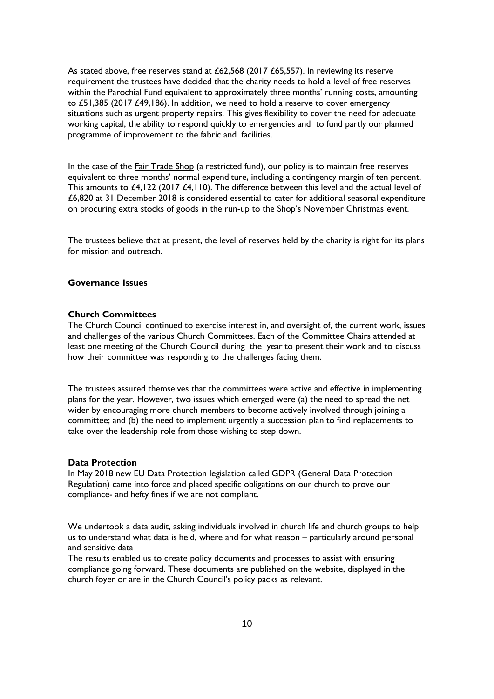As stated above, free reserves stand at £62,568 (2017 £65,557). In reviewing its reserve requirement the trustees have decided that the charity needs to hold a level of free reserves within the Parochial Fund equivalent to approximately three months' running costs, amounting to £51,385 (2017 £49,186). In addition, we need to hold a reserve to cover emergency situations such as urgent property repairs. This gives flexibility to cover the need for adequate working capital, the ability to respond quickly to emergencies and to fund partly our planned programme of improvement to the fabric and facilities.

In the case of the **Fair Trade Shop** (a restricted fund), our policy is to maintain free reserves equivalent to three months' normal expenditure, including a contingency margin of ten percent. This amounts to £4,122 (2017 £4,110). The difference between this level and the actual level of £6,820 at 31 December 2018 is considered essential to cater for additional seasonal expenditure on procuring extra stocks of goods in the run-up to the Shop's November Christmas event.

The trustees believe that at present, the level of reserves held by the charity is right for its plans for mission and outreach.

# **Governance Issues**

### **Church Committees**

The Church Council continued to exercise interest in, and oversight of, the current work, issues and challenges of the various Church Committees. Each of the Committee Chairs attended at least one meeting of the Church Council during the year to present their work and to discuss how their committee was responding to the challenges facing them.

The trustees assured themselves that the committees were active and effective in implementing plans for the year. However, two issues which emerged were (a) the need to spread the net wider by encouraging more church members to become actively involved through joining a committee; and (b) the need to implement urgently a succession plan to find replacements to take over the leadership role from those wishing to step down.

### **Data Protection**

In May 2018 new EU Data Protection legislation called GDPR (General Data Protection Regulation) came into force and placed specific obligations on our church to prove our compliance- and hefty fines if we are not compliant.

We undertook a data audit, asking individuals involved in church life and church groups to help us to understand what data is held, where and for what reason – particularly around personal and sensitive data

The results enabled us to create policy documents and processes to assist with ensuring compliance going forward. These documents are published on the website, displayed in the church foyer or are in the Church Council's policy packs as relevant.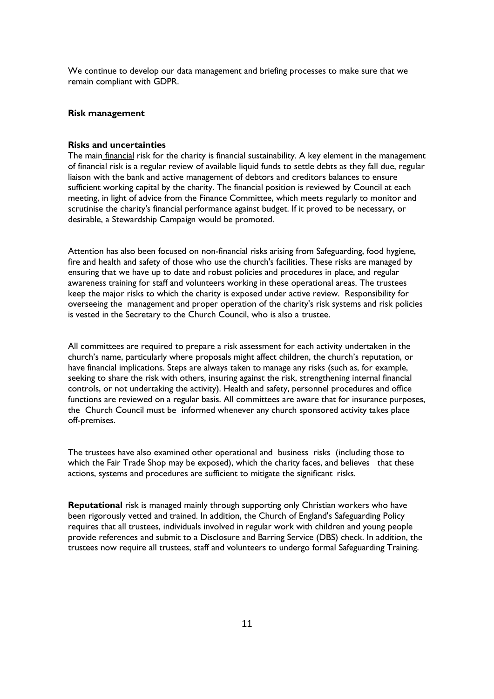We continue to develop our data management and briefing processes to make sure that we remain compliant with GDPR.

# **Risk management**

## **Risks and uncertainties**

The main *financial* risk for the charity is financial sustainability. A key element in the management of financial risk is a regular review of available liquid funds to settle debts as they fall due, regular liaison with the bank and active management of debtors and creditors balances to ensure sufficient working capital by the charity. The financial position is reviewed by Council at each meeting, in light of advice from the Finance Committee, which meets regularly to monitor and scrutinise the charity's financial performance against budget. If it proved to be necessary, or desirable, a Stewardship Campaign would be promoted.

Attention has also been focused on non-financial risks arising from Safeguarding, food hygiene, fire and health and safety of those who use the church's facilities. These risks are managed by ensuring that we have up to date and robust policies and procedures in place, and regular awareness training for staff and volunteers working in these operational areas. The trustees keep the major risks to which the charity is exposed under active review. Responsibility for overseeing the management and proper operation of the charity's risk systems and risk policies is vested in the Secretary to the Church Council, who is also a trustee.

All committees are required to prepare a risk assessment for each activity undertaken in the church's name, particularly where proposals might affect children, the church's reputation, or have financial implications. Steps are always taken to manage any risks (such as, for example, seeking to share the risk with others, insuring against the risk, strengthening internal financial controls, or not undertaking the activity). Health and safety, personnel procedures and office functions are reviewed on a regular basis. All committees are aware that for insurance purposes, the Church Council must be informed whenever any church sponsored activity takes place off-premises.

The trustees have also examined other operational and business risks (including those to which the Fair Trade Shop may be exposed), which the charity faces, and believes that these actions, systems and procedures are sufficient to mitigate the significant risks.

**Reputational** risk is managed mainly through supporting only Christian workers who have been rigorously vetted and trained. In addition, the Church of England's Safeguarding Policy requires that all trustees, individuals involved in regular work with children and young people provide references and submit to a Disclosure and Barring Service (DBS) check. In addition, the trustees now require all trustees, staff and volunteers to undergo formal Safeguarding Training.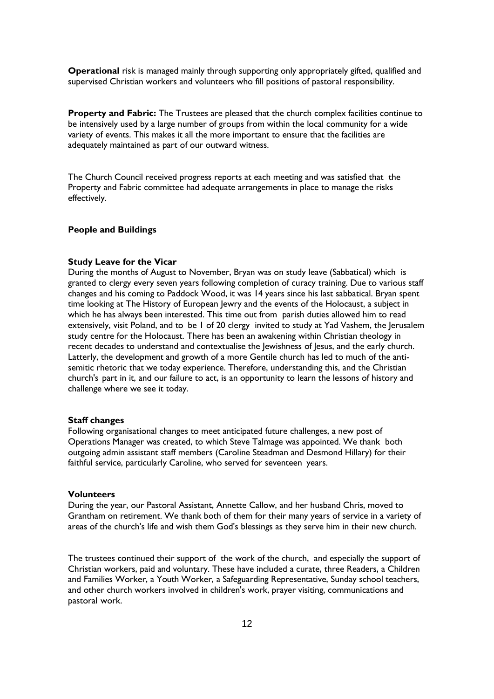**Operational** risk is managed mainly through supporting only appropriately gifted, qualified and supervised Christian workers and volunteers who fill positions of pastoral responsibility.

**Property and Fabric:** The Trustees are pleased that the church complex facilities continue to be intensively used by a large number of groups from within the local community for a wide variety of events. This makes it all the more important to ensure that the facilities are adequately maintained as part of our outward witness.

The Church Council received progress reports at each meeting and was satisfied that the Property and Fabric committee had adequate arrangements in place to manage the risks effectively.

## **People and Buildings**

#### **Study Leave for the Vicar**

During the months of August to November, Bryan was on study leave (Sabbatical) which is granted to clergy every seven years following completion of curacy training. Due to various staff changes and his coming to Paddock Wood, it was 14 years since his last sabbatical. Bryan spent time looking at The History of European Jewry and the events of the Holocaust, a subject in which he has always been interested. This time out from parish duties allowed him to read extensively, visit Poland, and to be 1 of 20 clergy invited to study at Yad Vashem, the Jerusalem study centre for the Holocaust. There has been an awakening within Christian theology in recent decades to understand and contextualise the Jewishness of Jesus, and the early church. Latterly, the development and growth of a more Gentile church has led to much of the antisemitic rhetoric that we today experience. Therefore, understanding this, and the Christian church's part in it, and our failure to act, is an opportunity to learn the lessons of history and challenge where we see it today.

### **Staff changes**

Following organisational changes to meet anticipated future challenges, a new post of Operations Manager was created, to which Steve Talmage was appointed. We thank both outgoing admin assistant staff members (Caroline Steadman and Desmond Hillary) for their faithful service, particularly Caroline, who served for seventeen years.

## **Volunteers**

During the year, our Pastoral Assistant, Annette Callow, and her husband Chris, moved to Grantham on retirement. We thank both of them for their many years of service in a variety of areas of the church's life and wish them God's blessings as they serve him in their new church.

The trustees continued their support of the work of the church, and especially the support of Christian workers, paid and voluntary. These have included a curate, three Readers, a Children and Families Worker, a Youth Worker, a Safeguarding Representative, Sunday school teachers, and other church workers involved in children's work, prayer visiting, communications and pastoral work.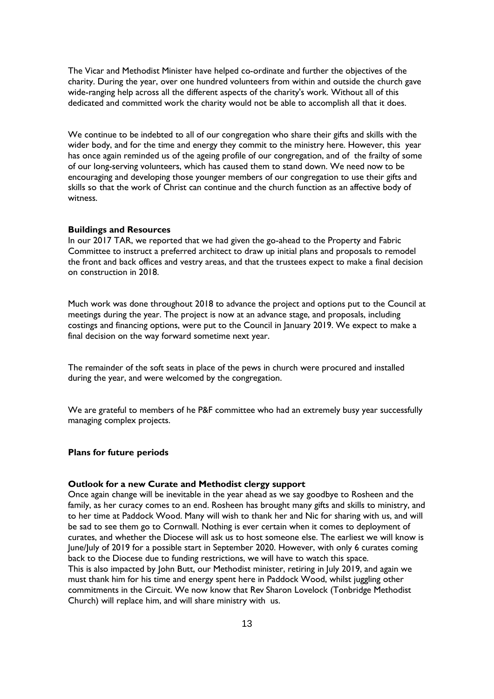The Vicar and Methodist Minister have helped co-ordinate and further the objectives of the charity. During the year, over one hundred volunteers from within and outside the church gave wide-ranging help across all the different aspects of the charity's work. Without all of this dedicated and committed work the charity would not be able to accomplish all that it does.

We continue to be indebted to all of our congregation who share their gifts and skills with the wider body, and for the time and energy they commit to the ministry here. However, this year has once again reminded us of the ageing profile of our congregation, and of the frailty of some of our long-serving volunteers, which has caused them to stand down. We need now to be encouraging and developing those younger members of our congregation to use their gifts and skills so that the work of Christ can continue and the church function as an affective body of witness.

## **Buildings and Resources**

In our 2017 TAR, we reported that we had given the go-ahead to the Property and Fabric Committee to instruct a preferred architect to draw up initial plans and proposals to remodel the front and back offices and vestry areas, and that the trustees expect to make a final decision on construction in 2018.

Much work was done throughout 2018 to advance the project and options put to the Council at meetings during the year. The project is now at an advance stage, and proposals, including costings and financing options, were put to the Council in January 2019. We expect to make a final decision on the way forward sometime next year.

The remainder of the soft seats in place of the pews in church were procured and installed during the year, and were welcomed by the congregation.

We are grateful to members of he P&F committee who had an extremely busy year successfully managing complex projects.

### **Plans for future periods**

### **Outlook for a new Curate and Methodist clergy support**

Once again change will be inevitable in the year ahead as we say goodbye to Rosheen and the family, as her curacy comes to an end. Rosheen has brought many gifts and skills to ministry, and to her time at Paddock Wood. Many will wish to thank her and Nic for sharing with us, and will be sad to see them go to Cornwall. Nothing is ever certain when it comes to deployment of curates, and whether the Diocese will ask us to host someone else. The earliest we will know is June/July of 2019 for a possible start in September 2020. However, with only 6 curates coming back to the Diocese due to funding restrictions, we will have to watch this space. This is also impacted by John Butt, our Methodist minister, retiring in July 2019, and again we must thank him for his time and energy spent here in Paddock Wood, whilst juggling other commitments in the Circuit. We now know that Rev Sharon Lovelock (Tonbridge Methodist Church) will replace him, and will share ministry with us.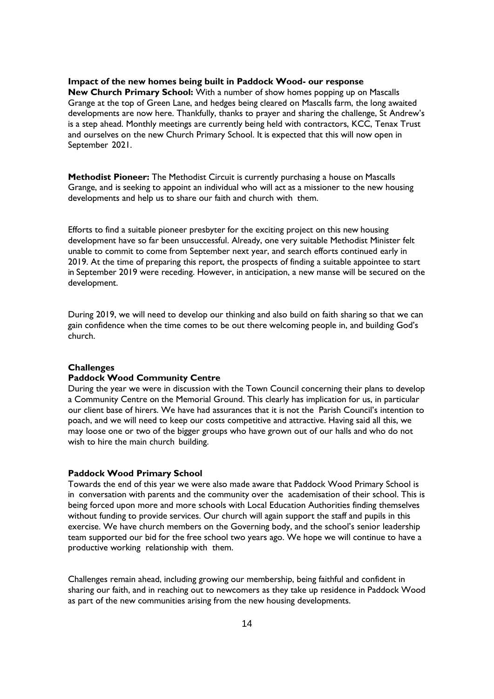## **Impact of the new homes being built in Paddock Wood- our response**

**New Church Primary School:** With a number of show homes popping up on Mascalls Grange at the top of Green Lane, and hedges being cleared on Mascalls farm, the long awaited developments are now here. Thankfully, thanks to prayer and sharing the challenge, St Andrew's is a step ahead. Monthly meetings are currently being held with contractors, KCC, Tenax Trust and ourselves on the new Church Primary School. It is expected that this will now open in September 2021.

**Methodist Pioneer:** The Methodist Circuit is currently purchasing a house on Mascalls Grange, and is seeking to appoint an individual who will act as a missioner to the new housing developments and help us to share our faith and church with them.

Efforts to find a suitable pioneer presbyter for the exciting project on this new housing development have so far been unsuccessful. Already, one very suitable Methodist Minister felt unable to commit to come from September next year, and search efforts continued early in 2019. At the time of preparing this report, the prospects of finding a suitable appointee to start in September 2019 were receding. However, in anticipation, a new manse will be secured on the development.

During 2019, we will need to develop our thinking and also build on faith sharing so that we can gain confidence when the time comes to be out there welcoming people in, and building God's church.

### **Challenges**

## **Paddock Wood Community Centre**

During the year we were in discussion with the Town Council concerning their plans to develop a Community Centre on the Memorial Ground. This clearly has implication for us, in particular our client base of hirers. We have had assurances that it is not the Parish Council's intention to poach, and we will need to keep our costs competitive and attractive. Having said all this, we may loose one or two of the bigger groups who have grown out of our halls and who do not wish to hire the main church building.

#### **Paddock Wood Primary School**

Towards the end of this year we were also made aware that Paddock Wood Primary School is in conversation with parents and the community over the academisation of their school. This is being forced upon more and more schools with Local Education Authorities finding themselves without funding to provide services. Our church will again support the staff and pupils in this exercise. We have church members on the Governing body, and the school's senior leadership team supported our bid for the free school two years ago. We hope we will continue to have a productive working relationship with them.

Challenges remain ahead, including growing our membership, being faithful and confident in sharing our faith, and in reaching out to newcomers as they take up residence in Paddock Wood as part of the new communities arising from the new housing developments.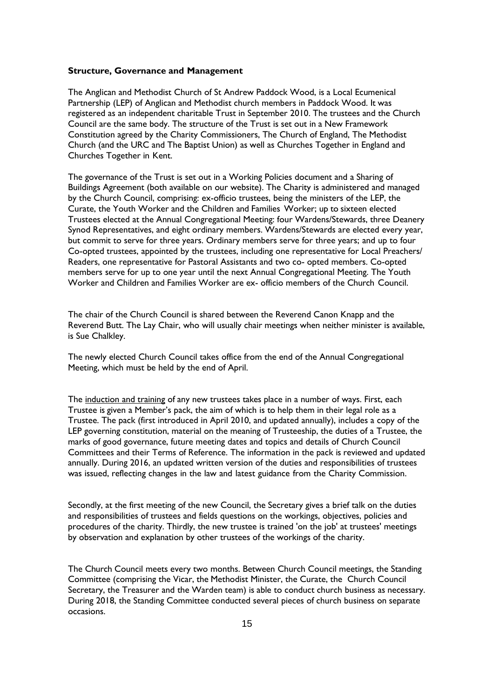## **Structure, Governance and Management**

The Anglican and Methodist Church of St Andrew Paddock Wood, is a Local Ecumenical Partnership (LEP) of Anglican and Methodist church members in Paddock Wood. It was registered as an independent charitable Trust in September 2010. The trustees and the Church Council are the same body. The structure of the Trust is set out in a New Framework Constitution agreed by the Charity Commissioners, The Church of England, The Methodist Church (and the URC and The Baptist Union) as well as Churches Together in England and Churches Together in Kent.

The governance of the Trust is set out in a Working Policies document and a Sharing of Buildings Agreement (both available on our website). The Charity is administered and managed by the Church Council, comprising: ex-officio trustees, being the ministers of the LEP, the Curate, the Youth Worker and the Children and Families Worker; up to sixteen elected Trustees elected at the Annual Congregational Meeting: four Wardens/Stewards, three Deanery Synod Representatives, and eight ordinary members. Wardens/Stewards are elected every year, but commit to serve for three years. Ordinary members serve for three years; and up to four Co-opted trustees, appointed by the trustees, including one representative for Local Preachers/ Readers, one representative for Pastoral Assistants and two co- opted members. Co-opted members serve for up to one year until the next Annual Congregational Meeting. The Youth Worker and Children and Families Worker are ex- officio members of the Church Council.

The chair of the Church Council is shared between the Reverend Canon Knapp and the Reverend Butt. The Lay Chair, who will usually chair meetings when neither minister is available, is Sue Chalkley.

The newly elected Church Council takes office from the end of the Annual Congregational Meeting, which must be held by the end of April.

The induction and training of any new trustees takes place in a number of ways. First, each Trustee is given a Member's pack, the aim of which is to help them in their legal role as a Trustee. The pack (first introduced in April 2010, and updated annually), includes a copy of the LEP governing constitution, material on the meaning of Trusteeship, the duties of a Trustee, the marks of good governance, future meeting dates and topics and details of Church Council Committees and their Terms of Reference. The information in the pack is reviewed and updated annually. During 2016, an updated written version of the duties and responsibilities of trustees was issued, reflecting changes in the law and latest guidance from the Charity Commission.

Secondly, at the first meeting of the new Council, the Secretary gives a brief talk on the duties and responsibilities of trustees and fields questions on the workings, objectives, policies and procedures of the charity. Thirdly, the new trustee is trained 'on the job' at trustees' meetings by observation and explanation by other trustees of the workings of the charity.

The Church Council meets every two months. Between Church Council meetings, the Standing Committee (comprising the Vicar, the Methodist Minister, the Curate, the Church Council Secretary, the Treasurer and the Warden team) is able to conduct church business as necessary. During 2018, the Standing Committee conducted several pieces of church business on separate occasions.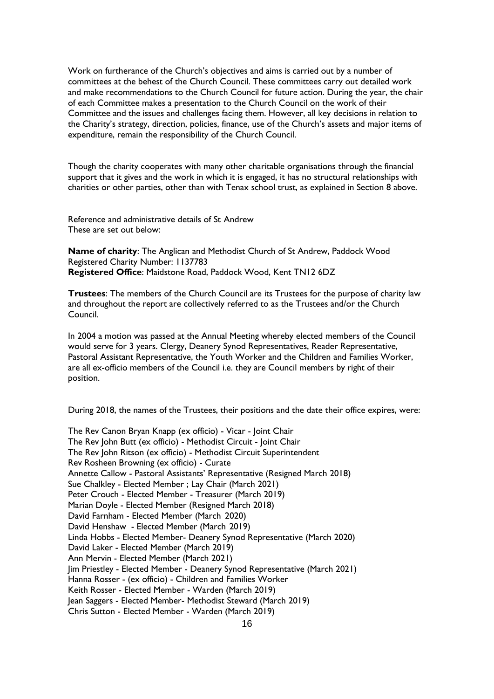Work on furtherance of the Church's objectives and aims is carried out by a number of committees at the behest of the Church Council. These committees carry out detailed work and make recommendations to the Church Council for future action. During the year, the chair of each Committee makes a presentation to the Church Council on the work of their Committee and the issues and challenges facing them. However, all key decisions in relation to the Charity's strategy, direction, policies, finance, use of the Church's assets and major items of expenditure, remain the responsibility of the Church Council.

Though the charity cooperates with many other charitable organisations through the financial support that it gives and the work in which it is engaged, it has no structural relationships with charities or other parties, other than with Tenax school trust, as explained in Section 8 above.

Reference and administrative details of St Andrew These are set out below:

**Name of charity**: The Anglican and Methodist Church of St Andrew, Paddock Wood Registered Charity Number: 1137783 **Registered Office**: Maidstone Road, Paddock Wood, Kent TN12 6DZ

**Trustees**: The members of the Church Council are its Trustees for the purpose of charity law and throughout the report are collectively referred to as the Trustees and/or the Church Council.

In 2004 a motion was passed at the Annual Meeting whereby elected members of the Council would serve for 3 years. Clergy, Deanery Synod Representatives, Reader Representative, Pastoral Assistant Representative, the Youth Worker and the Children and Families Worker, are all ex-officio members of the Council i.e. they are Council members by right of their position.

During 2018, the names of the Trustees, their positions and the date their office expires, were:

The Rev Canon Bryan Knapp (ex officio) - Vicar - Joint Chair The Rev John Butt (ex officio) - Methodist Circuit - Joint Chair The Rev John Ritson (ex officio) - Methodist Circuit Superintendent Rev Rosheen Browning (ex officio) - Curate Annette Callow - Pastoral Assistants' Representative (Resigned March 2018) Sue Chalkley - Elected Member ; Lay Chair (March 2021) Peter Crouch - Elected Member - Treasurer (March 2019) Marian Doyle - Elected Member (Resigned March 2018) David Farnham - Elected Member (March 2020) David Henshaw - Elected Member (March 2019) Linda Hobbs - Elected Member- Deanery Synod Representative (March 2020) David Laker - Elected Member (March 2019) Ann Mervin - Elected Member (March 2021) Jim Priestley - Elected Member - Deanery Synod Representative (March 2021) Hanna Rosser - (ex officio) - Children and Families Worker Keith Rosser - Elected Member - Warden (March 2019) Jean Saggers - Elected Member- Methodist Steward (March 2019) Chris Sutton - Elected Member - Warden (March 2019)